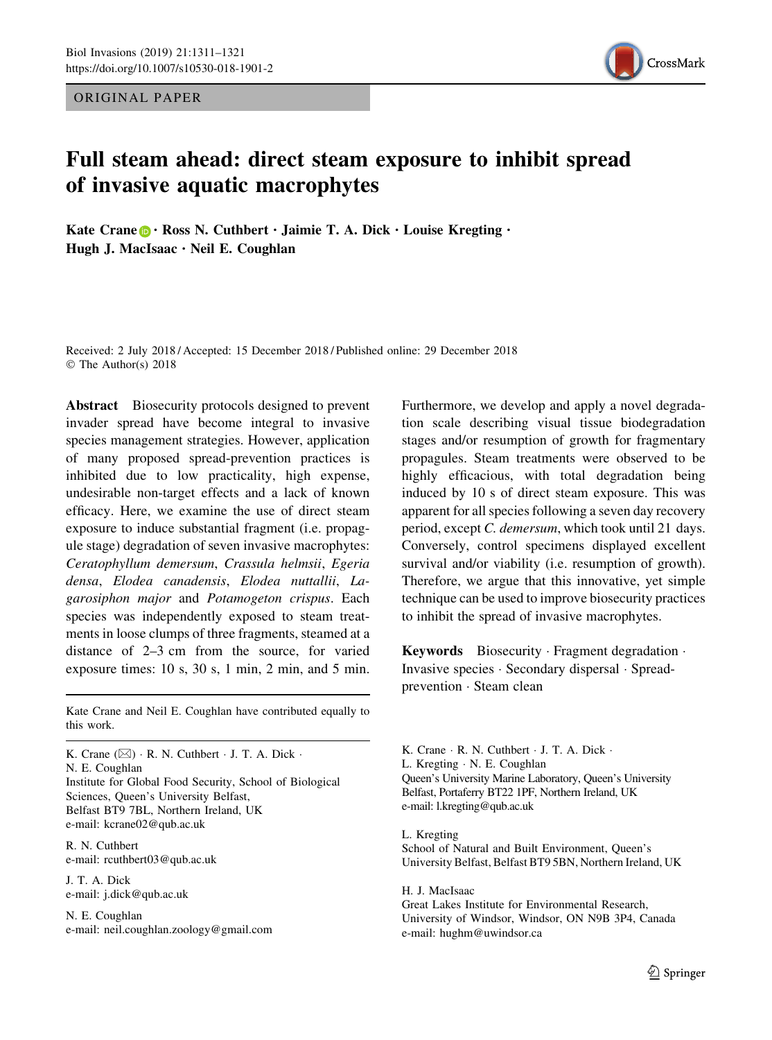ORIGINAL PAPER



# Full steam ahead: direct steam exposure to inhibit spread of invasive aquatic macrophytes

Kate Crane  $\mathbf{D} \cdot \text{Ross N. Cuthbert } \cdot \text{Jaimie T. A. Dick } \cdot \text{Louis Kregting } \cdot$ Hugh J. MacIsaac · Neil E. Coughlan

Received: 2 July 2018 / Accepted: 15 December 2018 / Published online: 29 December 2018 © The Author(s) 2018

Abstract Biosecurity protocols designed to prevent invader spread have become integral to invasive species management strategies. However, application of many proposed spread-prevention practices is inhibited due to low practicality, high expense, undesirable non-target effects and a lack of known efficacy. Here, we examine the use of direct steam exposure to induce substantial fragment (i.e. propagule stage) degradation of seven invasive macrophytes: Ceratophyllum demersum, Crassula helmsii, Egeria densa, Elodea canadensis, Elodea nuttallii, Lagarosiphon major and Potamogeton crispus. Each species was independently exposed to steam treatments in loose clumps of three fragments, steamed at a distance of 2–3 cm from the source, for varied exposure times: 10 s, 30 s, 1 min, 2 min, and 5 min.

Kate Crane and Neil E. Coughlan have contributed equally to this work.

K. Crane  $(\boxtimes) \cdot R$ . N. Cuthbert  $\cdot$  J. T. A. Dick  $\cdot$ N. E. Coughlan Institute for Global Food Security, School of Biological Sciences, Queen's University Belfast, Belfast BT9 7BL, Northern Ireland, UK e-mail: kcrane02@qub.ac.uk

R. N. Cuthbert e-mail: rcuthbert03@qub.ac.uk

J. T. A. Dick e-mail: j.dick@qub.ac.uk

N. E. Coughlan e-mail: neil.coughlan.zoology@gmail.com Furthermore, we develop and apply a novel degradation scale describing visual tissue biodegradation stages and/or resumption of growth for fragmentary propagules. Steam treatments were observed to be highly efficacious, with total degradation being induced by 10 s of direct steam exposure. This was apparent for all species following a seven day recovery period, except C. demersum, which took until 21 days. Conversely, control specimens displayed excellent survival and/or viability (i.e. resumption of growth). Therefore, we argue that this innovative, yet simple technique can be used to improve biosecurity practices to inhibit the spread of invasive macrophytes.

Keywords Biosecurity · Fragment degradation · Invasive species - Secondary dispersal - Spreadprevention - Steam clean

K. Crane · R. N. Cuthbert · J. T. A. Dick · L. Kregting - N. E. Coughlan Queen's University Marine Laboratory, Queen's University Belfast, Portaferry BT22 1PF, Northern Ireland, UK e-mail: l.kregting@qub.ac.uk

L. Kregting School of Natural and Built Environment, Queen's University Belfast, Belfast BT9 5BN, Northern Ireland, UK

H. J. MacIsaac Great Lakes Institute for Environmental Research, University of Windsor, Windsor, ON N9B 3P4, Canada e-mail: hughm@uwindsor.ca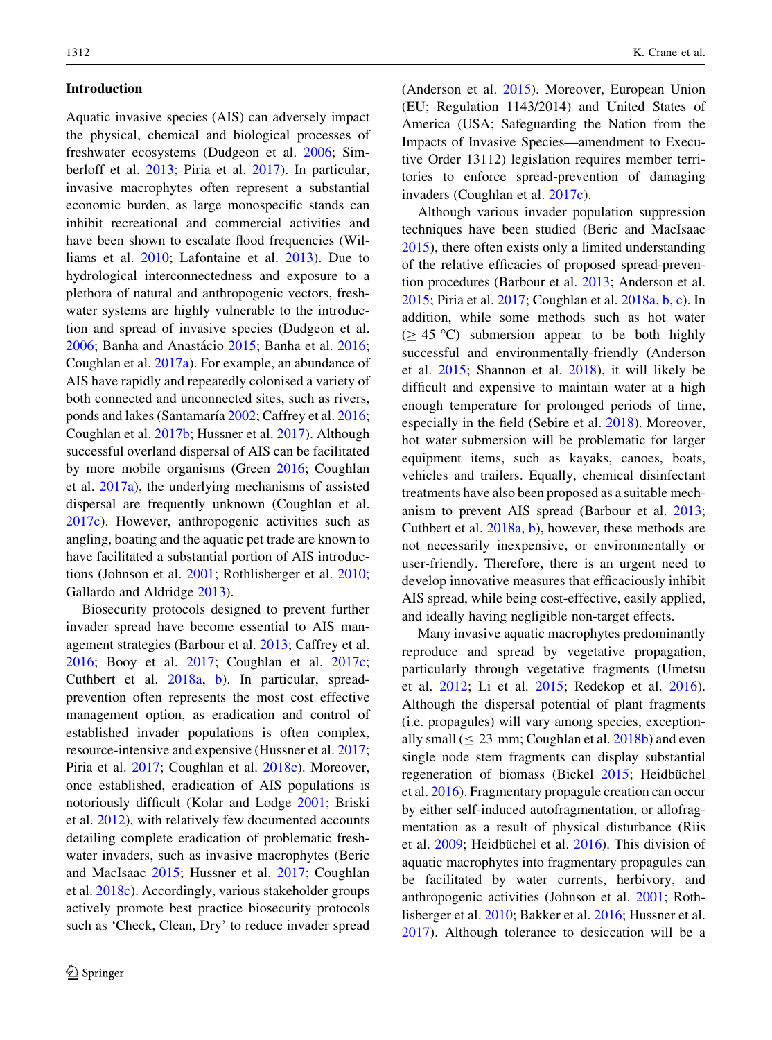# Introduction

Aquatic invasive species (AIS) can adversely impact the physical, chemical and biological processes of freshwater ecosystems (Dudgeon et al. [2006](#page-9-0); Simberloff et al. [2013](#page-10-0); Piria et al. [2017\)](#page-10-0). In particular, invasive macrophytes often represent a substantial economic burden, as large monospecific stands can inhibit recreational and commercial activities and have been shown to escalate flood frequencies (Williams et al. [2010;](#page-10-0) Lafontaine et al. [2013](#page-9-0)). Due to hydrological interconnectedness and exposure to a plethora of natural and anthropogenic vectors, freshwater systems are highly vulnerable to the introduction and spread of invasive species (Dudgeon et al. [2006;](#page-9-0) Banha and Anastácio [2015;](#page-8-0) Banha et al. [2016](#page-8-0); Coughlan et al. [2017a](#page-9-0)). For example, an abundance of AIS have rapidly and repeatedly colonised a variety of both connected and unconnected sites, such as rivers, ponds and lakes (Santamaría [2002;](#page-10-0) Caffrey et al. [2016](#page-9-0); Coughlan et al. [2017b;](#page-9-0) Hussner et al. [2017](#page-9-0)). Although successful overland dispersal of AIS can be facilitated by more mobile organisms (Green [2016](#page-9-0); Coughlan et al. [2017a](#page-9-0)), the underlying mechanisms of assisted dispersal are frequently unknown (Coughlan et al. [2017c](#page-9-0)). However, anthropogenic activities such as angling, boating and the aquatic pet trade are known to have facilitated a substantial portion of AIS introductions (Johnson et al. [2001](#page-9-0); Rothlisberger et al. [2010](#page-10-0); Gallardo and Aldridge [2013](#page-9-0)).

Biosecurity protocols designed to prevent further invader spread have become essential to AIS management strategies (Barbour et al. [2013](#page-8-0); Caffrey et al. [2016;](#page-9-0) Booy et al. [2017](#page-9-0); Coughlan et al. [2017c](#page-9-0); Cuthbert et al. [2018a](#page-9-0), [b\)](#page-9-0). In particular, spreadprevention often represents the most cost effective management option, as eradication and control of established invader populations is often complex, resource-intensive and expensive (Hussner et al. [2017](#page-9-0); Piria et al. [2017](#page-10-0); Coughlan et al. [2018c\)](#page-9-0). Moreover, once established, eradication of AIS populations is notoriously difficult (Kolar and Lodge [2001;](#page-9-0) Briski et al. [2012\)](#page-9-0), with relatively few documented accounts detailing complete eradication of problematic freshwater invaders, such as invasive macrophytes (Beric and MacIsaac [2015;](#page-9-0) Hussner et al. [2017](#page-9-0); Coughlan et al. [2018c\)](#page-9-0). Accordingly, various stakeholder groups actively promote best practice biosecurity protocols such as 'Check, Clean, Dry' to reduce invader spread

(Anderson et al. [2015\)](#page-8-0). Moreover, European Union (EU; Regulation 1143/2014) and United States of America (USA; Safeguarding the Nation from the Impacts of Invasive Species—amendment to Executive Order 13112) legislation requires member territories to enforce spread-prevention of damaging invaders (Coughlan et al. [2017c\)](#page-9-0).

Although various invader population suppression techniques have been studied (Beric and MacIsaac [2015\)](#page-9-0), there often exists only a limited understanding of the relative efficacies of proposed spread-prevention procedures (Barbour et al. [2013;](#page-8-0) Anderson et al. [2015;](#page-8-0) Piria et al. [2017;](#page-10-0) Coughlan et al. [2018a,](#page-9-0) [b,](#page-9-0) [c\)](#page-9-0). In addition, while some methods such as hot water ( $> 45 \degree C$ ) submersion appear to be both highly successful and environmentally-friendly (Anderson et al. [2015;](#page-8-0) Shannon et al. [2018](#page-10-0)), it will likely be difficult and expensive to maintain water at a high enough temperature for prolonged periods of time, especially in the field (Sebire et al. [2018\)](#page-10-0). Moreover, hot water submersion will be problematic for larger equipment items, such as kayaks, canoes, boats, vehicles and trailers. Equally, chemical disinfectant treatments have also been proposed as a suitable mechanism to prevent AIS spread (Barbour et al. [2013](#page-8-0); Cuthbert et al. [2018a,](#page-9-0) [b\)](#page-9-0), however, these methods are not necessarily inexpensive, or environmentally or user-friendly. Therefore, there is an urgent need to develop innovative measures that efficaciously inhibit AIS spread, while being cost-effective, easily applied, and ideally having negligible non-target effects.

Many invasive aquatic macrophytes predominantly reproduce and spread by vegetative propagation, particularly through vegetative fragments (Umetsu et al. [2012;](#page-10-0) Li et al. [2015;](#page-9-0) Redekop et al. [2016](#page-10-0)). Although the dispersal potential of plant fragments (i.e. propagules) will vary among species, exceptionally small  $( \leq 23 \text{ mm}; \text{Coughlan et al. } 2018b)$  $( \leq 23 \text{ mm}; \text{Coughlan et al. } 2018b)$  and even single node stem fragments can display substantial regeneration of biomass (Bickel [2015](#page-9-0); Heidbüchel et al. [2016\)](#page-9-0). Fragmentary propagule creation can occur by either self-induced autofragmentation, or allofragmentation as a result of physical disturbance (Riis et al. [2009](#page-10-0); Heidbüchel et al. [2016\)](#page-9-0). This division of aquatic macrophytes into fragmentary propagules can be facilitated by water currents, herbivory, and anthropogenic activities (Johnson et al. [2001;](#page-9-0) Rothlisberger et al. [2010;](#page-10-0) Bakker et al. [2016](#page-8-0); Hussner et al. [2017\)](#page-9-0). Although tolerance to desiccation will be a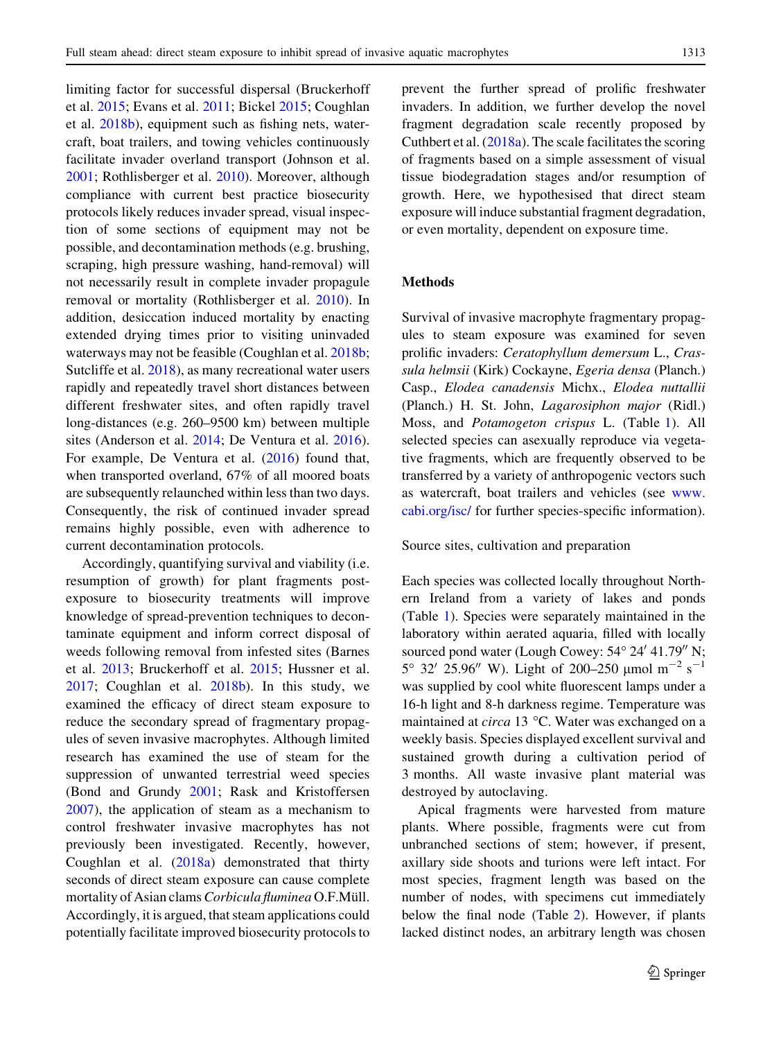limiting factor for successful dispersal (Bruckerhoff et al. [2015](#page-9-0); Evans et al. [2011;](#page-9-0) Bickel [2015;](#page-9-0) Coughlan et al. [2018b\)](#page-9-0), equipment such as fishing nets, watercraft, boat trailers, and towing vehicles continuously facilitate invader overland transport (Johnson et al. [2001;](#page-9-0) Rothlisberger et al. [2010](#page-10-0)). Moreover, although compliance with current best practice biosecurity protocols likely reduces invader spread, visual inspection of some sections of equipment may not be possible, and decontamination methods (e.g. brushing, scraping, high pressure washing, hand-removal) will not necessarily result in complete invader propagule removal or mortality (Rothlisberger et al. [2010](#page-10-0)). In addition, desiccation induced mortality by enacting extended drying times prior to visiting uninvaded waterways may not be feasible (Coughlan et al. [2018b](#page-9-0); Sutcliffe et al. [2018\)](#page-10-0), as many recreational water users rapidly and repeatedly travel short distances between different freshwater sites, and often rapidly travel long-distances (e.g. 260–9500 km) between multiple sites (Anderson et al. [2014;](#page-8-0) De Ventura et al. [2016](#page-9-0)). For example, De Ventura et al. ([2016\)](#page-9-0) found that, when transported overland, 67% of all moored boats are subsequently relaunched within less than two days. Consequently, the risk of continued invader spread remains highly possible, even with adherence to current decontamination protocols.

Accordingly, quantifying survival and viability (i.e. resumption of growth) for plant fragments postexposure to biosecurity treatments will improve knowledge of spread-prevention techniques to decontaminate equipment and inform correct disposal of weeds following removal from infested sites (Barnes et al. [2013](#page-8-0); Bruckerhoff et al. [2015](#page-9-0); Hussner et al. [2017;](#page-9-0) Coughlan et al. [2018b](#page-9-0)). In this study, we examined the efficacy of direct steam exposure to reduce the secondary spread of fragmentary propagules of seven invasive macrophytes. Although limited research has examined the use of steam for the suppression of unwanted terrestrial weed species (Bond and Grundy [2001](#page-9-0); Rask and Kristoffersen [2007\)](#page-10-0), the application of steam as a mechanism to control freshwater invasive macrophytes has not previously been investigated. Recently, however, Coughlan et al. ([2018a](#page-9-0)) demonstrated that thirty seconds of direct steam exposure can cause complete mortality of Asian clams Corbicula fluminea O.F.Müll. Accordingly, it is argued, that steam applications could potentially facilitate improved biosecurity protocols to

prevent the further spread of prolific freshwater invaders. In addition, we further develop the novel fragment degradation scale recently proposed by Cuthbert et al. [\(2018a\)](#page-9-0). The scale facilitates the scoring of fragments based on a simple assessment of visual tissue biodegradation stages and/or resumption of growth. Here, we hypothesised that direct steam exposure will induce substantial fragment degradation, or even mortality, dependent on exposure time.

#### Methods

Survival of invasive macrophyte fragmentary propagules to steam exposure was examined for seven prolific invaders: Ceratophyllum demersum L., Crassula helmsii (Kirk) Cockayne, Egeria densa (Planch.) Casp., Elodea canadensis Michx., Elodea nuttallii (Planch.) H. St. John, Lagarosiphon major (Ridl.) Moss, and Potamogeton crispus L. (Table [1](#page-3-0)). All selected species can asexually reproduce via vegetative fragments, which are frequently observed to be transferred by a variety of anthropogenic vectors such as watercraft, boat trailers and vehicles (see [www.](http://www.cabi.org/isc/) [cabi.org/isc/](http://www.cabi.org/isc/) for further species-specific information).

Source sites, cultivation and preparation

Each species was collected locally throughout Northern Ireland from a variety of lakes and ponds (Table [1](#page-3-0)). Species were separately maintained in the laboratory within aerated aquaria, filled with locally sourced pond water (Lough Cowey: 54° 24′ 41.79″ N;  $5^{\circ}$  32' 25.96" W). Light of 200–250 µmol m<sup>-2</sup> s<sup>-1</sup> was supplied by cool white fluorescent lamps under a 16-h light and 8-h darkness regime. Temperature was maintained at *circa* 13  $\degree$ C. Water was exchanged on a weekly basis. Species displayed excellent survival and sustained growth during a cultivation period of 3 months. All waste invasive plant material was destroyed by autoclaving.

Apical fragments were harvested from mature plants. Where possible, fragments were cut from unbranched sections of stem; however, if present, axillary side shoots and turions were left intact. For most species, fragment length was based on the number of nodes, with specimens cut immediately below the final node (Table [2\)](#page-4-0). However, if plants lacked distinct nodes, an arbitrary length was chosen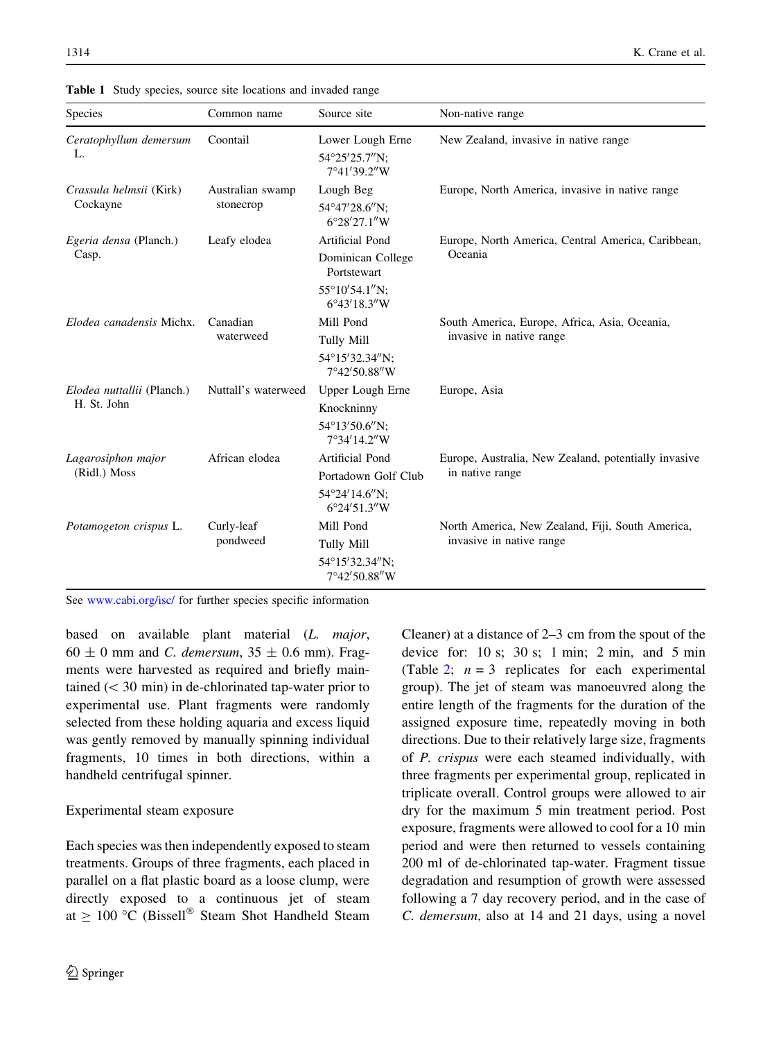| Species                                   | Common name                   | Source site                                        | Non-native range                                                             |
|-------------------------------------------|-------------------------------|----------------------------------------------------|------------------------------------------------------------------------------|
| Ceratophyllum demersum<br>L.              | Coontail                      | Lower Lough Erne<br>54°25′25.7″N:<br>7°41'39.2"W   | New Zealand, invasive in native range                                        |
| Crassula helmsii (Kirk)<br>Cockayne       | Australian swamp<br>stonecrop | Lough Beg<br>54°47′28.6″N:<br>6°28'27.1"W          | Europe, North America, invasive in native range                              |
| Egeria densa (Planch.)<br>Casp.           | Leafy elodea                  | Artificial Pond                                    | Europe, North America, Central America, Caribbean,<br>Oceania                |
|                                           |                               | Dominican College<br>Portstewart                   |                                                                              |
|                                           |                               | $55^{\circ}10'54.1''N$ :<br>$6^{\circ}43'18.3''$ W |                                                                              |
| Elodea canadensis Michx.                  | Canadian<br>waterweed         | Mill Pond                                          | South America, Europe, Africa, Asia, Oceania,                                |
|                                           |                               | Tully Mill                                         | invasive in native range                                                     |
|                                           |                               | 54°15'32.34"N:<br>7°42'50.88"W                     |                                                                              |
| Elodea nuttallii (Planch.)<br>H. St. John | Nuttall's waterweed           | Upper Lough Erne                                   | Europe, Asia                                                                 |
|                                           |                               | Knockninny                                         |                                                                              |
|                                           |                               | 54°13'50.6"N:<br>7°34'14.2"W                       |                                                                              |
| Lagarosiphon major                        | African elodea                | Artificial Pond                                    | Europe, Australia, New Zealand, potentially invasive                         |
| (Ridl.) Moss                              |                               | Portadown Golf Club                                | in native range                                                              |
|                                           |                               | 54°24'14.6"N;<br>6°24'51.3"W                       |                                                                              |
| Potamogeton crispus L.                    | Curly-leaf<br>pondweed        | Mill Pond                                          | North America, New Zealand, Fiji, South America,<br>invasive in native range |
|                                           |                               | Tully Mill                                         |                                                                              |
|                                           |                               | 54°15'32.34"N;<br>7°42'50.88"W                     |                                                                              |

<span id="page-3-0"></span>Table 1 Study species, source site locations and invaded range

See [www.cabi.org/isc/](http://www.cabi.org/isc/) for further species specific information

based on available plant material (L. major,  $60 \pm 0$  mm and *C. demersum*,  $35 \pm 0.6$  mm). Fragments were harvested as required and briefly maintained  $( $30 \text{ min}$ )$  in de-chlorinated tap-water prior to experimental use. Plant fragments were randomly selected from these holding aquaria and excess liquid was gently removed by manually spinning individual fragments, 10 times in both directions, within a handheld centrifugal spinner.

## Experimental steam exposure

Each species was then independently exposed to steam treatments. Groups of three fragments, each placed in parallel on a flat plastic board as a loose clump, were directly exposed to a continuous jet of steam at  $\geq 100$  °C (Bissell<sup>®</sup> Steam Shot Handheld Steam Cleaner) at a distance of 2–3 cm from the spout of the device for:  $10 \text{ s}$ ;  $30 \text{ s}$ ;  $1 \text{ min}$ ;  $2 \text{ min}$ , and  $5 \text{ min}$ (Table [2](#page-4-0);  $n = 3$  replicates for each experimental group). The jet of steam was manoeuvred along the entire length of the fragments for the duration of the assigned exposure time, repeatedly moving in both directions. Due to their relatively large size, fragments of P. crispus were each steamed individually, with three fragments per experimental group, replicated in triplicate overall. Control groups were allowed to air dry for the maximum 5 min treatment period. Post exposure, fragments were allowed to cool for a 10 min period and were then returned to vessels containing 200 ml of de-chlorinated tap-water. Fragment tissue degradation and resumption of growth were assessed following a 7 day recovery period, and in the case of C. demersum, also at 14 and 21 days, using a novel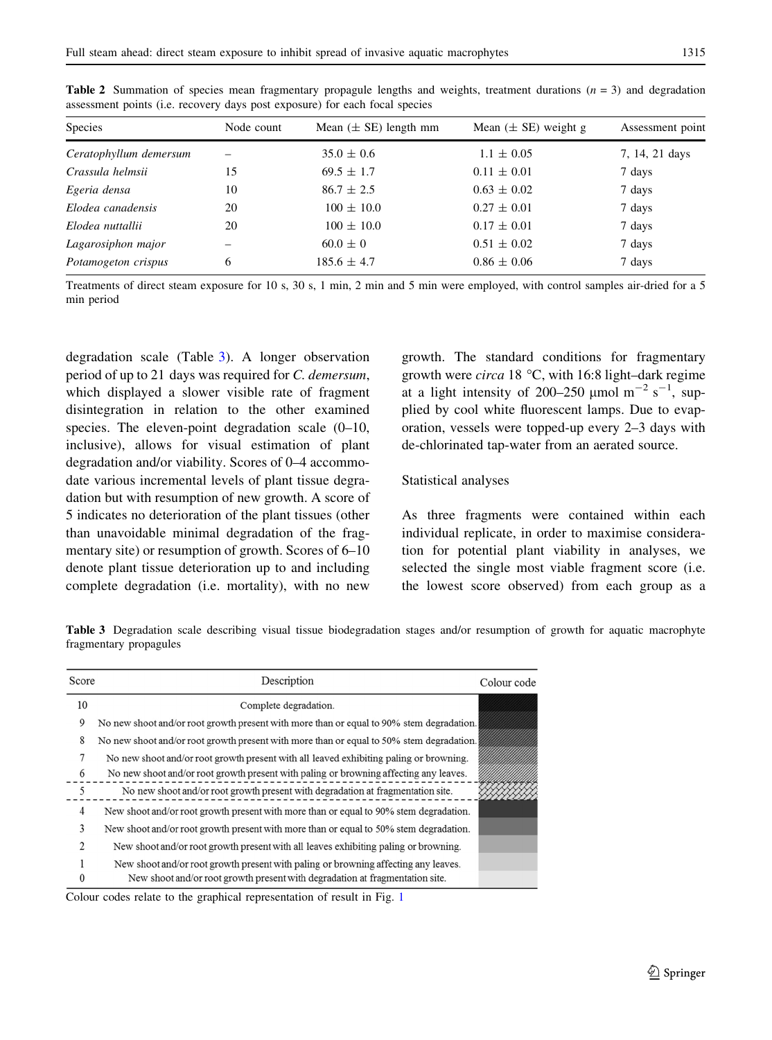| Species                | Node count | Mean $(\pm$ SE) length mm | Mean $(\pm$ SE) weight g | Assessment point |
|------------------------|------------|---------------------------|--------------------------|------------------|
| Ceratophyllum demersum |            | $35.0 \pm 0.6$            | $1.1 \pm 0.05$           | 7, 14, 21 days   |
| Crassula helmsii       | 15         | $69.5 \pm 1.7$            | $0.11 \pm 0.01$          | 7 days           |
| Egeria densa           | 10         | $86.7 \pm 2.5$            | $0.63 \pm 0.02$          | 7 days           |
| Elodea canadensis      | 20         | $100 \pm 10.0$            | $0.27 \pm 0.01$          | 7 days           |
| Elodea nuttallii       | 20         | $100 \pm 10.0$            | $0.17 \pm 0.01$          | 7 days           |
| Lagarosiphon major     |            | $60.0 \pm 0$              | $0.51 \pm 0.02$          | 7 days           |
| Potamogeton crispus    | 6          | $185.6 \pm 4.7$           | $0.86 \pm 0.06$          | 7 days           |

<span id="page-4-0"></span>**Table 2** Summation of species mean fragmentary propagule lengths and weights, treatment durations  $(n = 3)$  and degradation assessment points (i.e. recovery days post exposure) for each focal species

Treatments of direct steam exposure for 10 s, 30 s, 1 min, 2 min and 5 min were employed, with control samples air-dried for a 5 min period

degradation scale (Table 3). A longer observation period of up to 21 days was required for C. demersum, which displayed a slower visible rate of fragment disintegration in relation to the other examined species. The eleven-point degradation scale  $(0-10,$ inclusive), allows for visual estimation of plant degradation and/or viability. Scores of 0–4 accommodate various incremental levels of plant tissue degradation but with resumption of new growth. A score of 5 indicates no deterioration of the plant tissues (other than unavoidable minimal degradation of the fragmentary site) or resumption of growth. Scores of 6–10 denote plant tissue deterioration up to and including complete degradation (i.e. mortality), with no new

growth. The standard conditions for fragmentary growth were *circa* 18  $\degree$ C, with 16:8 light–dark regime at a light intensity of 200–250  $\mu$ mol m<sup>-2</sup> s<sup>-1</sup>, supplied by cool white fluorescent lamps. Due to evaporation, vessels were topped-up every 2–3 days with de-chlorinated tap-water from an aerated source.

#### Statistical analyses

As three fragments were contained within each individual replicate, in order to maximise consideration for potential plant viability in analyses, we selected the single most viable fragment score (i.e. the lowest score observed) from each group as a

Table 3 Degradation scale describing visual tissue biodegradation stages and/or resumption of growth for aquatic macrophyte fragmentary propagules

| Score          | Description                                                                              | Colour code |
|----------------|------------------------------------------------------------------------------------------|-------------|
| 10             | Complete degradation.                                                                    |             |
| 9              | No new shoot and/or root growth present with more than or equal to 90% stem degradation. |             |
| 8              | No new shoot and/or root growth present with more than or equal to 50% stem degradation. |             |
| 7              | No new shoot and/or root growth present with all leaved exhibiting paling or browning.   |             |
| 6              | No new shoot and/or root growth present with paling or browning affecting any leaves.    |             |
| 5              | No new shoot and/or root growth present with degradation at fragmentation site.          |             |
| 4              | New shoot and/or root growth present with more than or equal to 90% stem degradation.    |             |
| 3              | New shoot and/or root growth present with more than or equal to 50% stem degradation.    |             |
| $\overline{2}$ | New shoot and/or root growth present with all leaves exhibiting paling or browning.      |             |
|                | New shoot and/or root growth present with paling or browning affecting any leaves.       |             |
| $\theta$       | New shoot and/or root growth present with degradation at fragmentation site.             |             |

Colour codes relate to the graphical representation of result in Fig. [1](#page-6-0)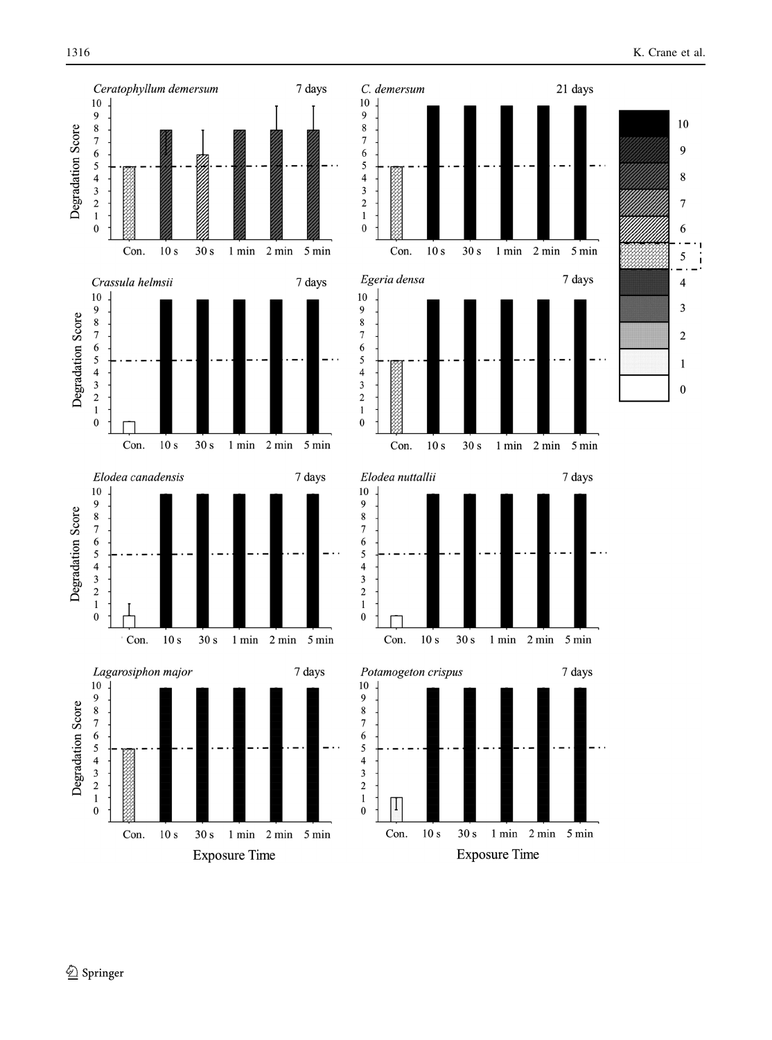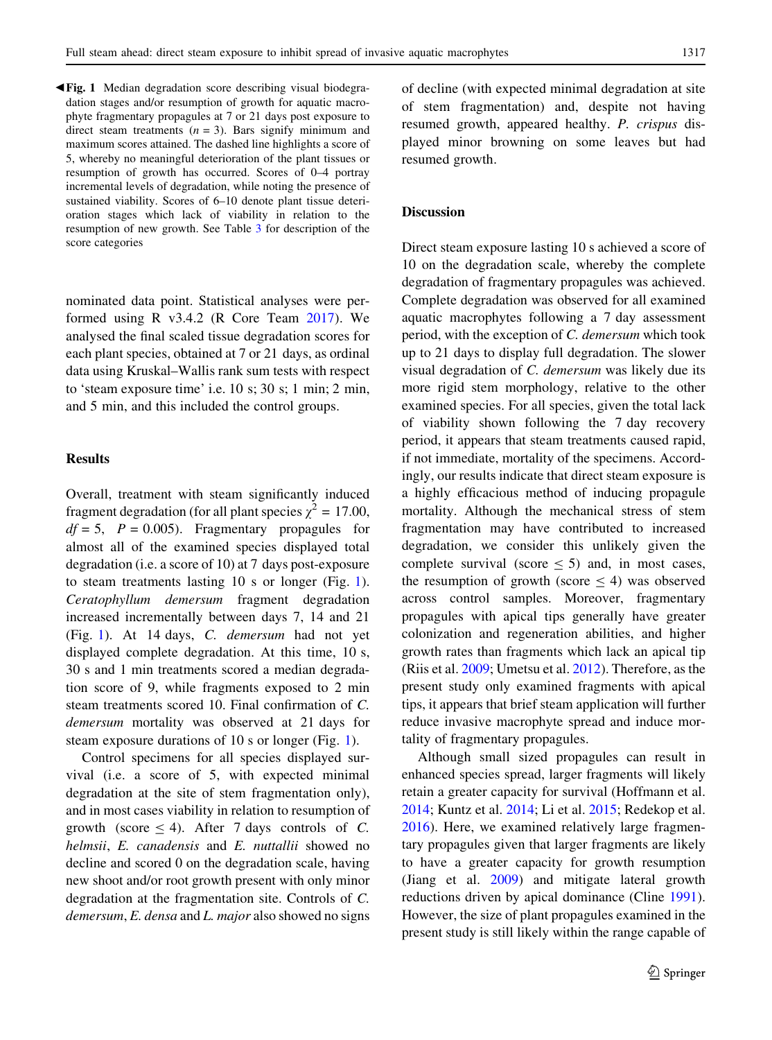<span id="page-6-0"></span> $\blacktriangleleft$  **Fig. 1** Median degradation score describing visual biodegradation stages and/or resumption of growth for aquatic macrophyte fragmentary propagules at 7 or 21 days post exposure to direct steam treatments  $(n = 3)$ . Bars signify minimum and maximum scores attained. The dashed line highlights a score of 5, whereby no meaningful deterioration of the plant tissues or resumption of growth has occurred. Scores of 0–4 portray incremental levels of degradation, while noting the presence of sustained viability. Scores of 6–10 denote plant tissue deterioration stages which lack of viability in relation to the resumption of new growth. See Table [3](#page-4-0) for description of the score categories

nominated data point. Statistical analyses were performed using R v3.4.2 (R Core Team [2017](#page-10-0)). We analysed the final scaled tissue degradation scores for each plant species, obtained at 7 or 21 days, as ordinal data using Kruskal–Wallis rank sum tests with respect to 'steam exposure time' i.e. 10 s; 30 s; 1 min; 2 min, and 5 min, and this included the control groups.

## Results

Overall, treatment with steam significantly induced fragment degradation (for all plant species  $\gamma^2 = 17.00$ ,  $df = 5$ ,  $P = 0.005$ . Fragmentary propagules for almost all of the examined species displayed total degradation (i.e. a score of 10) at 7 days post-exposure to steam treatments lasting 10 s or longer (Fig. 1). Ceratophyllum demersum fragment degradation increased incrementally between days 7, 14 and 21 (Fig. 1). At 14 days, C. demersum had not yet displayed complete degradation. At this time, 10 s, 30 s and 1 min treatments scored a median degradation score of 9, while fragments exposed to 2 min steam treatments scored 10. Final confirmation of C. demersum mortality was observed at 21 days for steam exposure durations of 10 s or longer (Fig. 1).

Control specimens for all species displayed survival (i.e. a score of 5, with expected minimal degradation at the site of stem fragmentation only), and in most cases viability in relation to resumption of growth (score  $\leq$  4). After 7 days controls of C. helmsii, E. canadensis and E. nuttallii showed no decline and scored 0 on the degradation scale, having new shoot and/or root growth present with only minor degradation at the fragmentation site. Controls of C. demersum, E. densa and L. major also showed no signs of decline (with expected minimal degradation at site of stem fragmentation) and, despite not having resumed growth, appeared healthy. P. crispus displayed minor browning on some leaves but had resumed growth.

## **Discussion**

Direct steam exposure lasting 10 s achieved a score of 10 on the degradation scale, whereby the complete degradation of fragmentary propagules was achieved. Complete degradation was observed for all examined aquatic macrophytes following a 7 day assessment period, with the exception of C. demersum which took up to 21 days to display full degradation. The slower visual degradation of C. demersum was likely due its more rigid stem morphology, relative to the other examined species. For all species, given the total lack of viability shown following the 7 day recovery period, it appears that steam treatments caused rapid, if not immediate, mortality of the specimens. Accordingly, our results indicate that direct steam exposure is a highly efficacious method of inducing propagule mortality. Although the mechanical stress of stem fragmentation may have contributed to increased degradation, we consider this unlikely given the complete survival (score  $\leq$  5) and, in most cases, the resumption of growth (score  $\leq$  4) was observed across control samples. Moreover, fragmentary propagules with apical tips generally have greater colonization and regeneration abilities, and higher growth rates than fragments which lack an apical tip (Riis et al. [2009](#page-10-0); Umetsu et al. [2012\)](#page-10-0). Therefore, as the present study only examined fragments with apical tips, it appears that brief steam application will further reduce invasive macrophyte spread and induce mortality of fragmentary propagules.

Although small sized propagules can result in enhanced species spread, larger fragments will likely retain a greater capacity for survival (Hoffmann et al. [2014;](#page-9-0) Kuntz et al. [2014;](#page-9-0) Li et al. [2015](#page-9-0); Redekop et al. [2016\)](#page-10-0). Here, we examined relatively large fragmentary propagules given that larger fragments are likely to have a greater capacity for growth resumption (Jiang et al. [2009\)](#page-9-0) and mitigate lateral growth reductions driven by apical dominance (Cline [1991](#page-9-0)). However, the size of plant propagules examined in the present study is still likely within the range capable of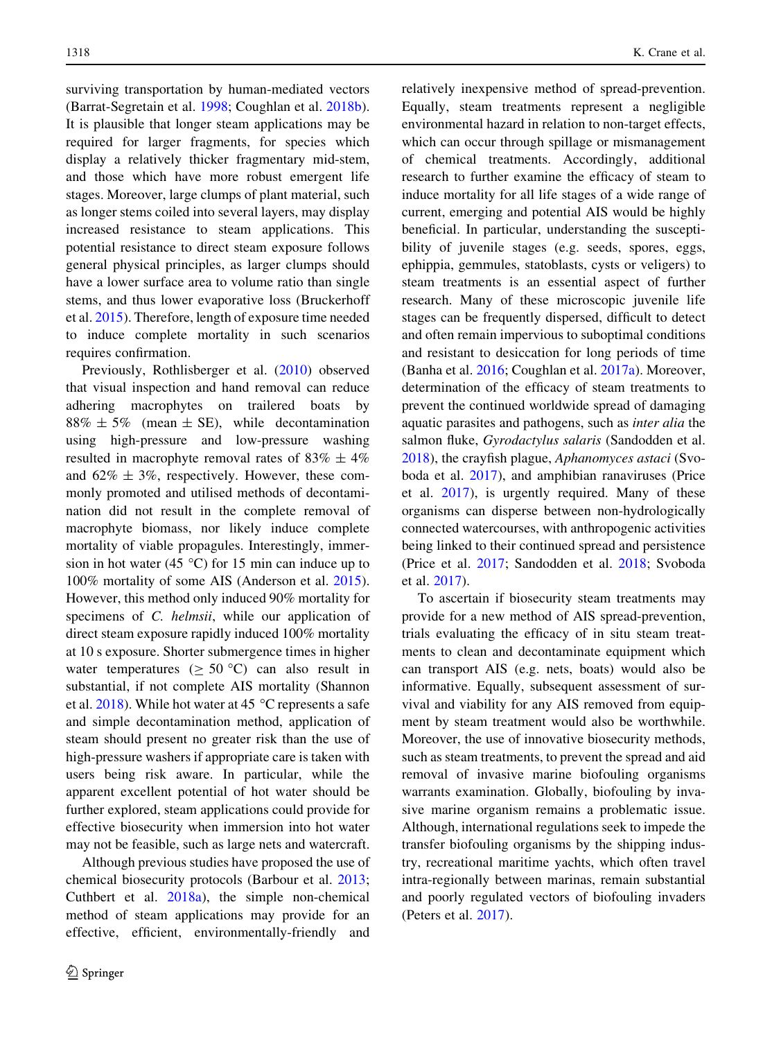surviving transportation by human-mediated vectors (Barrat-Segretain et al. [1998;](#page-8-0) Coughlan et al. [2018b](#page-9-0)). It is plausible that longer steam applications may be required for larger fragments, for species which display a relatively thicker fragmentary mid-stem, and those which have more robust emergent life stages. Moreover, large clumps of plant material, such as longer stems coiled into several layers, may display increased resistance to steam applications. This potential resistance to direct steam exposure follows general physical principles, as larger clumps should have a lower surface area to volume ratio than single stems, and thus lower evaporative loss (Bruckerhoff et al. [2015](#page-9-0)). Therefore, length of exposure time needed to induce complete mortality in such scenarios requires confirmation.

Previously, Rothlisberger et al. ([2010\)](#page-10-0) observed that visual inspection and hand removal can reduce adhering macrophytes on trailered boats by  $88\% \pm 5\%$  (mean  $\pm$  SE), while decontamination using high-pressure and low-pressure washing resulted in macrophyte removal rates of  $83\% \pm 4\%$ and  $62\% \pm 3\%$ , respectively. However, these commonly promoted and utilised methods of decontamination did not result in the complete removal of macrophyte biomass, nor likely induce complete mortality of viable propagules. Interestingly, immersion in hot water (45  $^{\circ}$ C) for 15 min can induce up to 100% mortality of some AIS (Anderson et al. [2015](#page-8-0)). However, this method only induced 90% mortality for specimens of C. helmsii, while our application of direct steam exposure rapidly induced 100% mortality at 10 s exposure. Shorter submergence times in higher water temperatures ( $\geq 50$  °C) can also result in substantial, if not complete AIS mortality (Shannon et al. [2018\)](#page-10-0). While hot water at 45  $^{\circ}$ C represents a safe and simple decontamination method, application of steam should present no greater risk than the use of high-pressure washers if appropriate care is taken with users being risk aware. In particular, while the apparent excellent potential of hot water should be further explored, steam applications could provide for effective biosecurity when immersion into hot water may not be feasible, such as large nets and watercraft.

Although previous studies have proposed the use of chemical biosecurity protocols (Barbour et al. [2013](#page-8-0); Cuthbert et al. [2018a](#page-9-0)), the simple non-chemical method of steam applications may provide for an effective, efficient, environmentally-friendly and relatively inexpensive method of spread-prevention. Equally, steam treatments represent a negligible environmental hazard in relation to non-target effects, which can occur through spillage or mismanagement of chemical treatments. Accordingly, additional research to further examine the efficacy of steam to induce mortality for all life stages of a wide range of current, emerging and potential AIS would be highly beneficial. In particular, understanding the susceptibility of juvenile stages (e.g. seeds, spores, eggs, ephippia, gemmules, statoblasts, cysts or veligers) to steam treatments is an essential aspect of further research. Many of these microscopic juvenile life stages can be frequently dispersed, difficult to detect and often remain impervious to suboptimal conditions and resistant to desiccation for long periods of time (Banha et al. [2016;](#page-8-0) Coughlan et al. [2017a](#page-9-0)). Moreover, determination of the efficacy of steam treatments to prevent the continued worldwide spread of damaging aquatic parasites and pathogens, such as inter alia the salmon fluke, Gyrodactylus salaris (Sandodden et al. [2018\)](#page-10-0), the crayfish plague, Aphanomyces astaci (Svoboda et al. [2017\)](#page-10-0), and amphibian ranaviruses (Price et al. [2017](#page-10-0)), is urgently required. Many of these organisms can disperse between non-hydrologically connected watercourses, with anthropogenic activities being linked to their continued spread and persistence (Price et al. [2017](#page-10-0); Sandodden et al. [2018](#page-10-0); Svoboda et al. [2017](#page-10-0)).

To ascertain if biosecurity steam treatments may provide for a new method of AIS spread-prevention, trials evaluating the efficacy of in situ steam treatments to clean and decontaminate equipment which can transport AIS (e.g. nets, boats) would also be informative. Equally, subsequent assessment of survival and viability for any AIS removed from equipment by steam treatment would also be worthwhile. Moreover, the use of innovative biosecurity methods, such as steam treatments, to prevent the spread and aid removal of invasive marine biofouling organisms warrants examination. Globally, biofouling by invasive marine organism remains a problematic issue. Although, international regulations seek to impede the transfer biofouling organisms by the shipping industry, recreational maritime yachts, which often travel intra-regionally between marinas, remain substantial and poorly regulated vectors of biofouling invaders (Peters et al. [2017](#page-10-0)).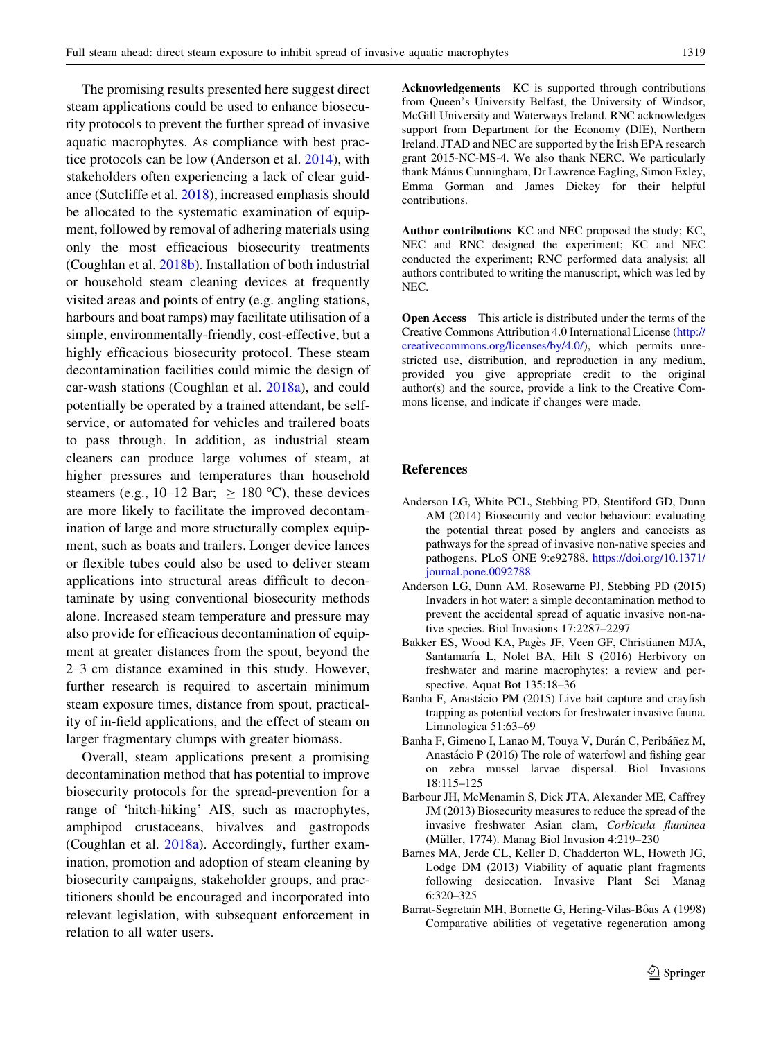<span id="page-8-0"></span>The promising results presented here suggest direct steam applications could be used to enhance biosecurity protocols to prevent the further spread of invasive aquatic macrophytes. As compliance with best practice protocols can be low (Anderson et al. 2014), with stakeholders often experiencing a lack of clear guidance (Sutcliffe et al. [2018](#page-10-0)), increased emphasis should be allocated to the systematic examination of equipment, followed by removal of adhering materials using only the most efficacious biosecurity treatments (Coughlan et al. [2018b\)](#page-9-0). Installation of both industrial or household steam cleaning devices at frequently visited areas and points of entry (e.g. angling stations, harbours and boat ramps) may facilitate utilisation of a simple, environmentally-friendly, cost-effective, but a highly efficacious biosecurity protocol. These steam decontamination facilities could mimic the design of car-wash stations (Coughlan et al. [2018a](#page-9-0)), and could potentially be operated by a trained attendant, be selfservice, or automated for vehicles and trailered boats to pass through. In addition, as industrial steam cleaners can produce large volumes of steam, at higher pressures and temperatures than household steamers (e.g., 10–12 Bar;  $\geq$  180 °C), these devices are more likely to facilitate the improved decontamination of large and more structurally complex equipment, such as boats and trailers. Longer device lances or flexible tubes could also be used to deliver steam applications into structural areas difficult to decontaminate by using conventional biosecurity methods alone. Increased steam temperature and pressure may also provide for efficacious decontamination of equipment at greater distances from the spout, beyond the 2–3 cm distance examined in this study. However, further research is required to ascertain minimum steam exposure times, distance from spout, practicality of in-field applications, and the effect of steam on larger fragmentary clumps with greater biomass.

Overall, steam applications present a promising decontamination method that has potential to improve biosecurity protocols for the spread-prevention for a range of 'hitch-hiking' AIS, such as macrophytes, amphipod crustaceans, bivalves and gastropods (Coughlan et al. [2018a\)](#page-9-0). Accordingly, further examination, promotion and adoption of steam cleaning by biosecurity campaigns, stakeholder groups, and practitioners should be encouraged and incorporated into relevant legislation, with subsequent enforcement in relation to all water users.

Acknowledgements KC is supported through contributions from Queen's University Belfast, the University of Windsor, McGill University and Waterways Ireland. RNC acknowledges support from Department for the Economy (DfE), Northern Ireland. JTAD and NEC are supported by the Irish EPA research grant 2015-NC-MS-4. We also thank NERC. We particularly thank Mánus Cunningham, Dr Lawrence Eagling, Simon Exley, Emma Gorman and James Dickey for their helpful contributions.

Author contributions KC and NEC proposed the study; KC, NEC and RNC designed the experiment; KC and NEC conducted the experiment; RNC performed data analysis; all authors contributed to writing the manuscript, which was led by NEC.

Open Access This article is distributed under the terms of the Creative Commons Attribution 4.0 International License ([http://](http://creativecommons.org/licenses/by/4.0/) [creativecommons.org/licenses/by/4.0/\)](http://creativecommons.org/licenses/by/4.0/), which permits unrestricted use, distribution, and reproduction in any medium, provided you give appropriate credit to the original author(s) and the source, provide a link to the Creative Commons license, and indicate if changes were made.

#### References

- Anderson LG, White PCL, Stebbing PD, Stentiford GD, Dunn AM (2014) Biosecurity and vector behaviour: evaluating the potential threat posed by anglers and canoeists as pathways for the spread of invasive non-native species and pathogens. PLoS ONE 9:e92788. [https://doi.org/10.1371/](https://doi.org/10.1371/journal.pone.0092788) [journal.pone.0092788](https://doi.org/10.1371/journal.pone.0092788)
- Anderson LG, Dunn AM, Rosewarne PJ, Stebbing PD (2015) Invaders in hot water: a simple decontamination method to prevent the accidental spread of aquatic invasive non-native species. Biol Invasions 17:2287–2297
- Bakker ES, Wood KA, Pagès JF, Veen GF, Christianen MJA, Santamaría L, Nolet BA, Hilt S (2016) Herbivory on freshwater and marine macrophytes: a review and perspective. Aquat Bot 135:18–36
- Banha F, Anastácio PM (2015) Live bait capture and crayfish trapping as potential vectors for freshwater invasive fauna. Limnologica 51:63–69
- Banha F, Gimeno I, Lanao M, Touya V, Durán C, Peribáñez M, Anastácio P (2016) The role of waterfowl and fishing gear on zebra mussel larvae dispersal. Biol Invasions 18:115–125
- Barbour JH, McMenamin S, Dick JTA, Alexander ME, Caffrey JM (2013) Biosecurity measures to reduce the spread of the invasive freshwater Asian clam, Corbicula fluminea (Müller, 1774). Manag Biol Invasion 4:219-230
- Barnes MA, Jerde CL, Keller D, Chadderton WL, Howeth JG, Lodge DM (2013) Viability of aquatic plant fragments following desiccation. Invasive Plant Sci Manag 6:320–325
- Barrat-Segretain MH, Bornette G, Hering-Vilas-Bôas A (1998) Comparative abilities of vegetative regeneration among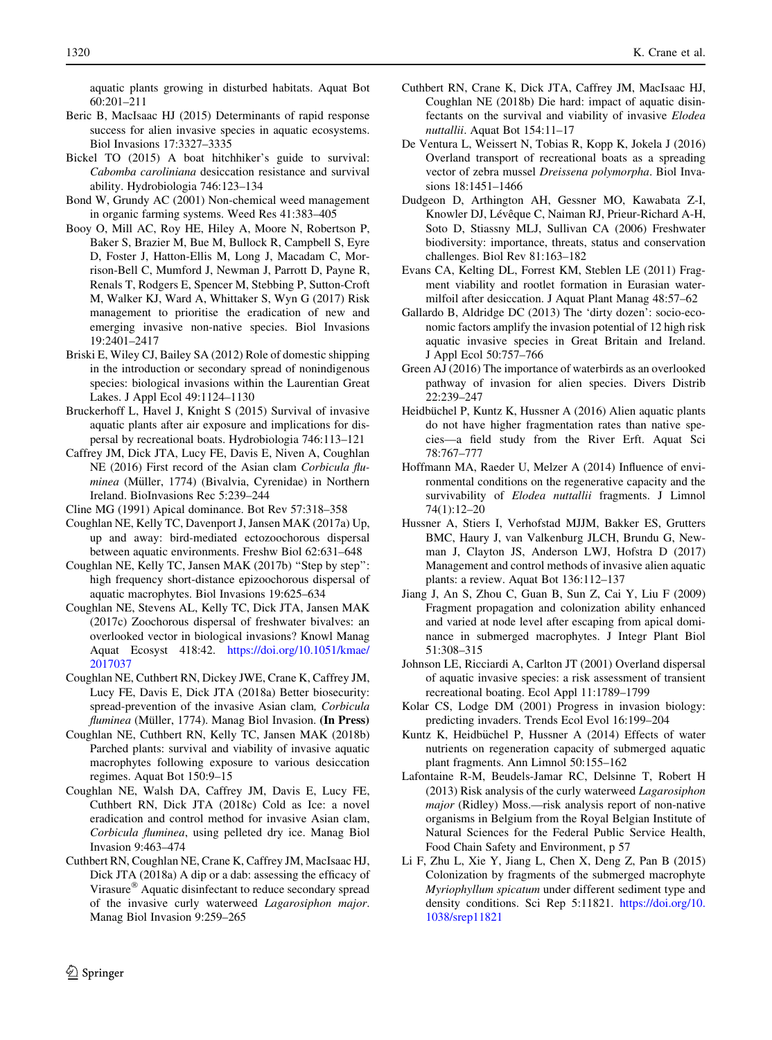<span id="page-9-0"></span>aquatic plants growing in disturbed habitats. Aquat Bot 60:201–211

- Beric B, MacIsaac HJ (2015) Determinants of rapid response success for alien invasive species in aquatic ecosystems. Biol Invasions 17:3327–3335
- Bickel TO (2015) A boat hitchhiker's guide to survival: Cabomba caroliniana desiccation resistance and survival ability. Hydrobiologia 746:123–134
- Bond W, Grundy AC (2001) Non-chemical weed management in organic farming systems. Weed Res 41:383–405
- Booy O, Mill AC, Roy HE, Hiley A, Moore N, Robertson P, Baker S, Brazier M, Bue M, Bullock R, Campbell S, Eyre D, Foster J, Hatton-Ellis M, Long J, Macadam C, Morrison-Bell C, Mumford J, Newman J, Parrott D, Payne R, Renals T, Rodgers E, Spencer M, Stebbing P, Sutton-Croft M, Walker KJ, Ward A, Whittaker S, Wyn G (2017) Risk management to prioritise the eradication of new and emerging invasive non-native species. Biol Invasions 19:2401–2417
- Briski E, Wiley CJ, Bailey SA (2012) Role of domestic shipping in the introduction or secondary spread of nonindigenous species: biological invasions within the Laurentian Great Lakes. J Appl Ecol 49:1124–1130
- Bruckerhoff L, Havel J, Knight S (2015) Survival of invasive aquatic plants after air exposure and implications for dispersal by recreational boats. Hydrobiologia 746:113–121
- Caffrey JM, Dick JTA, Lucy FE, Davis E, Niven A, Coughlan NE (2016) First record of the Asian clam Corbicula fluminea (Müller, 1774) (Bivalvia, Cyrenidae) in Northern Ireland. BioInvasions Rec 5:239–244
- Cline MG (1991) Apical dominance. Bot Rev 57:318–358
- Coughlan NE, Kelly TC, Davenport J, Jansen MAK (2017a) Up, up and away: bird-mediated ectozoochorous dispersal between aquatic environments. Freshw Biol 62:631–648
- Coughlan NE, Kelly TC, Jansen MAK (2017b) ''Step by step'': high frequency short-distance epizoochorous dispersal of aquatic macrophytes. Biol Invasions 19:625–634
- Coughlan NE, Stevens AL, Kelly TC, Dick JTA, Jansen MAK (2017c) Zoochorous dispersal of freshwater bivalves: an overlooked vector in biological invasions? Knowl Manag Aquat Ecosyst 418:42. [https://doi.org/10.1051/kmae/](https://doi.org/10.1051/kmae/2017037) [2017037](https://doi.org/10.1051/kmae/2017037)
- Coughlan NE, Cuthbert RN, Dickey JWE, Crane K, Caffrey JM, Lucy FE, Davis E, Dick JTA (2018a) Better biosecurity: spread-prevention of the invasive Asian clam, Corbicula fluminea (Müller, 1774). Manag Biol Invasion. (In Press)
- Coughlan NE, Cuthbert RN, Kelly TC, Jansen MAK (2018b) Parched plants: survival and viability of invasive aquatic macrophytes following exposure to various desiccation regimes. Aquat Bot 150:9–15
- Coughlan NE, Walsh DA, Caffrey JM, Davis E, Lucy FE, Cuthbert RN, Dick JTA (2018c) Cold as Ice: a novel eradication and control method for invasive Asian clam, Corbicula fluminea, using pelleted dry ice. Manag Biol Invasion 9:463–474
- Cuthbert RN, Coughlan NE, Crane K, Caffrey JM, MacIsaac HJ, Dick JTA (2018a) A dip or a dab: assessing the efficacy of Virasure<sup>®</sup> Aquatic disinfectant to reduce secondary spread of the invasive curly waterweed Lagarosiphon major. Manag Biol Invasion 9:259–265
- Cuthbert RN, Crane K, Dick JTA, Caffrey JM, MacIsaac HJ, Coughlan NE (2018b) Die hard: impact of aquatic disinfectants on the survival and viability of invasive Elodea nuttallii. Aquat Bot 154:11–17
- De Ventura L, Weissert N, Tobias R, Kopp K, Jokela J (2016) Overland transport of recreational boats as a spreading vector of zebra mussel Dreissena polymorpha. Biol Invasions 18:1451–1466
- Dudgeon D, Arthington AH, Gessner MO, Kawabata Z-I, Knowler DJ, Lévêque C, Naiman RJ, Prieur-Richard A-H, Soto D, Stiassny MLJ, Sullivan CA (2006) Freshwater biodiversity: importance, threats, status and conservation challenges. Biol Rev 81:163–182
- Evans CA, Kelting DL, Forrest KM, Steblen LE (2011) Fragment viability and rootlet formation in Eurasian watermilfoil after desiccation. J Aquat Plant Manag 48:57–62
- Gallardo B, Aldridge DC (2013) The 'dirty dozen': socio-economic factors amplify the invasion potential of 12 high risk aquatic invasive species in Great Britain and Ireland. J Appl Ecol 50:757–766
- Green AJ (2016) The importance of waterbirds as an overlooked pathway of invasion for alien species. Divers Distrib 22:239–247
- Heidbüchel P, Kuntz K, Hussner A (2016) Alien aquatic plants do not have higher fragmentation rates than native species—a field study from the River Erft. Aquat Sci 78:767–777
- Hoffmann MA, Raeder U, Melzer A (2014) Influence of environmental conditions on the regenerative capacity and the survivability of Elodea nuttallii fragments. J Limnol 74(1):12–20
- Hussner A, Stiers I, Verhofstad MJJM, Bakker ES, Grutters BMC, Haury J, van Valkenburg JLCH, Brundu G, Newman J, Clayton JS, Anderson LWJ, Hofstra D (2017) Management and control methods of invasive alien aquatic plants: a review. Aquat Bot 136:112–137
- Jiang J, An S, Zhou C, Guan B, Sun Z, Cai Y, Liu F (2009) Fragment propagation and colonization ability enhanced and varied at node level after escaping from apical dominance in submerged macrophytes. J Integr Plant Biol 51:308–315
- Johnson LE, Ricciardi A, Carlton JT (2001) Overland dispersal of aquatic invasive species: a risk assessment of transient recreational boating. Ecol Appl 11:1789–1799
- Kolar CS, Lodge DM (2001) Progress in invasion biology: predicting invaders. Trends Ecol Evol 16:199–204
- Kuntz K, Heidbüchel P, Hussner A (2014) Effects of water nutrients on regeneration capacity of submerged aquatic plant fragments. Ann Limnol 50:155–162
- Lafontaine R-M, Beudels-Jamar RC, Delsinne T, Robert H (2013) Risk analysis of the curly waterweed Lagarosiphon major (Ridley) Moss.—risk analysis report of non-native organisms in Belgium from the Royal Belgian Institute of Natural Sciences for the Federal Public Service Health, Food Chain Safety and Environment, p 57
- Li F, Zhu L, Xie Y, Jiang L, Chen X, Deng Z, Pan B (2015) Colonization by fragments of the submerged macrophyte Myriophyllum spicatum under different sediment type and density conditions. Sci Rep 5:11821. [https://doi.org/10.](https://doi.org/10.1038/srep11821) [1038/srep11821](https://doi.org/10.1038/srep11821)